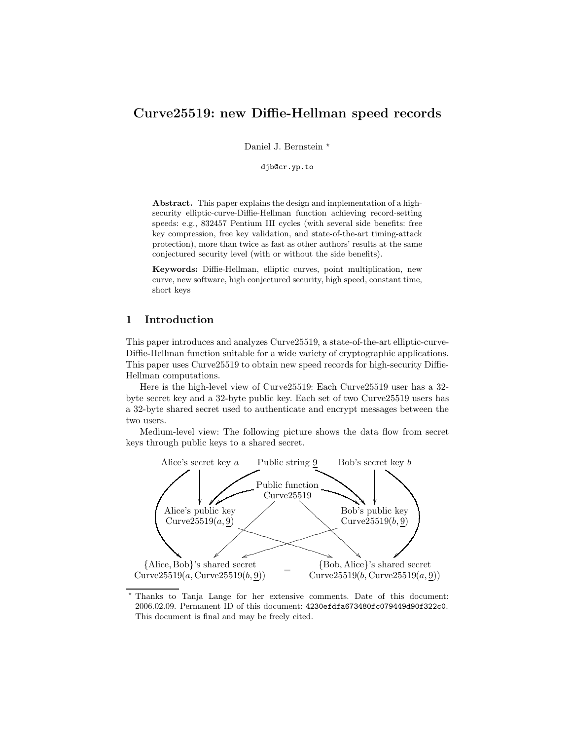# Curve25519: new Diffie-Hellman speed records

Daniel J. Bernstein \*

djb@cr.yp.to

Abstract. This paper explains the design and implementation of a highsecurity elliptic-curve-Diffie-Hellman function achieving record-setting speeds: e.g., 832457 Pentium III cycles (with several side benefits: free key compression, free key validation, and state-of-the-art timing-attack protection), more than twice as fast as other authors' results at the same conjectured security level (with or without the side benefits).

Keywords: Diffie-Hellman, elliptic curves, point multiplication, new curve, new software, high conjectured security, high speed, constant time, short keys

#### 1 Introduction

This paper introduces and analyzes Curve25519, a state-of-the-art elliptic-curve-Diffie-Hellman function suitable for a wide variety of cryptographic applications. This paper uses Curve25519 to obtain new speed records for high-security Diffie-Hellman computations.

Here is the high-level view of Curve25519: Each Curve25519 user has a 32 byte secret key and a 32-byte public key. Each set of two Curve25519 users has a 32-byte shared secret used to authenticate and encrypt messages between the two users.

Medium-level view: The following picture shows the data flow from secret keys through public keys to a shared secret.



<sup>!</sup> Thanks to Tanja Lange for her extensive comments. Date of this document: 2006.02.09. Permanent ID of this document: 4230efdfa673480fc079449d90f322c0. This document is final and may be freely cited.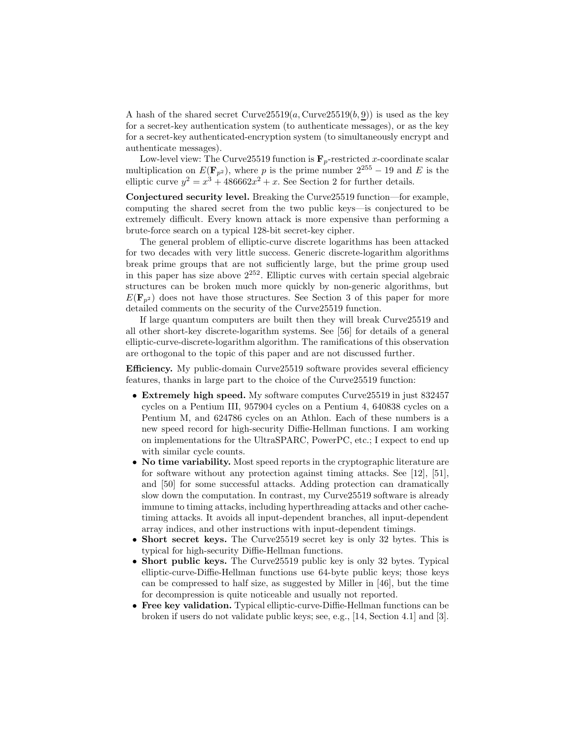A hash of the shared secret Curve $25519(a, Curve25519(b, 9))$  is used as the key for a secret-key authentication system (to authenticate messages), or as the key for a secret-key authenticated-encryption system (to simultaneously encrypt and authenticate messages).

Low-level view: The Curve 25519 function is  $\mathbf{F}_p$ -restricted x-coordinate scalar multiplication on  $E(\mathbf{F}_{p^2})$ , where p is the prime number  $2^{255} - 19$  and E is the elliptic curve  $y^2 = x^3 + 486662x^2 + x$ . See Section 2 for further details.

Conjectured security level. Breaking the Curve25519 function—for example, computing the shared secret from the two public keys—is conjectured to be extremely difficult. Every known attack is more expensive than performing a brute-force search on a typical 128-bit secret-key cipher.

The general problem of elliptic-curve discrete logarithms has been attacked for two decades with very little success. Generic discrete-logarithm algorithms break prime groups that are not sufficiently large, but the prime group used in this paper has size above  $2^{252}$ . Elliptic curves with certain special algebraic structures can be broken much more quickly by non-generic algorithms, but  $E(\mathbf{F}_{n^2})$  does not have those structures. See Section 3 of this paper for more detailed comments on the security of the Curve25519 function.

If large quantum computers are built then they will break Curve25519 and all other short-key discrete-logarithm systems. See [56] for details of a general elliptic-curve-discrete-logarithm algorithm. The ramifications of this observation are orthogonal to the topic of this paper and are not discussed further.

Efficiency. My public-domain Curve25519 software provides several efficiency features, thanks in large part to the choice of the Curve25519 function:

- Extremely high speed. My software computes Curve25519 in just 832457 cycles on a Pentium III, 957904 cycles on a Pentium 4, 640838 cycles on a Pentium M, and 624786 cycles on an Athlon. Each of these numbers is a new speed record for high-security Diffie-Hellman functions. I am working on implementations for the UltraSPARC, PowerPC, etc.; I expect to end up with similar cycle counts.
- No time variability. Most speed reports in the cryptographic literature are for software without any protection against timing attacks. See [12], [51], and [50] for some successful attacks. Adding protection can dramatically slow down the computation. In contrast, my Curve25519 software is already immune to timing attacks, including hyperthreading attacks and other cachetiming attacks. It avoids all input-dependent branches, all input-dependent array indices, and other instructions with input-dependent timings.
- Short secret keys. The Curve25519 secret key is only 32 bytes. This is typical for high-security Diffie-Hellman functions.
- Short public keys. The Curve 25519 public key is only 32 bytes. Typical elliptic-curve-Diffie-Hellman functions use 64-byte public keys; those keys can be compressed to half size, as suggested by Miller in [46], but the time for decompression is quite noticeable and usually not reported.
- Free key validation. Typical elliptic-curve-Diffie-Hellman functions can be broken if users do not validate public keys; see, e.g., [14, Section 4.1] and [3].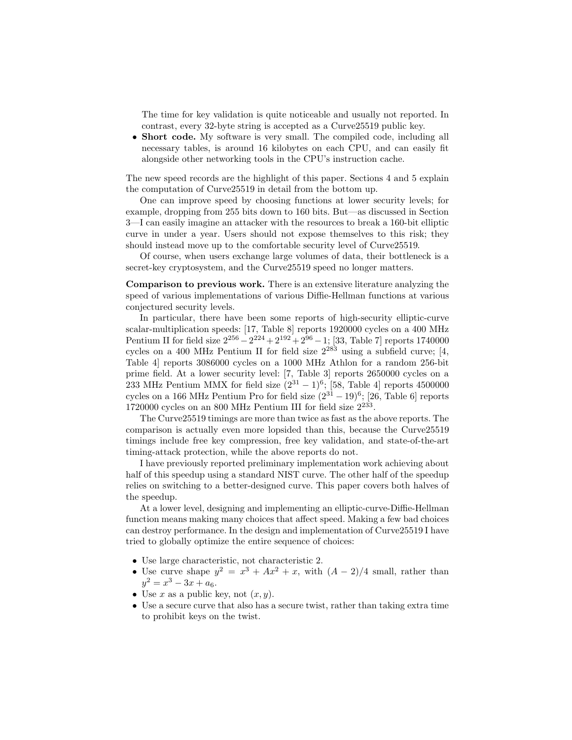The time for key validation is quite noticeable and usually not reported. In contrast, every 32-byte string is accepted as a Curve25519 public key.

• Short code. My software is very small. The compiled code, including all necessary tables, is around 16 kilobytes on each CPU, and can easily fit alongside other networking tools in the CPU's instruction cache.

The new speed records are the highlight of this paper. Sections 4 and 5 explain the computation of Curve25519 in detail from the bottom up.

One can improve speed by choosing functions at lower security levels; for example, dropping from 255 bits down to 160 bits. But—as discussed in Section 3—I can easily imagine an attacker with the resources to break a 160-bit elliptic curve in under a year. Users should not expose themselves to this risk; they should instead move up to the comfortable security level of Curve25519.

Of course, when users exchange large volumes of data, their bottleneck is a secret-key cryptosystem, and the Curve25519 speed no longer matters.

Comparison to previous work. There is an extensive literature analyzing the speed of various implementations of various Diffie-Hellman functions at various conjectured security levels.

In particular, there have been some reports of high-security elliptic-curve scalar-multiplication speeds: [17, Table 8] reports 1920000 cycles on a 400 MHz Pentium II for field size  $2^{256} - 2^{224} + 2^{192} + 2^{96} - 1$ ; [33, Table 7] reports 1740000 cycles on a 400 MHz Pentium II for field size  $2^{283}$  using a subfield curve; [4, Table 4] reports 3086000 cycles on a 1000 MHz Athlon for a random 256-bit prime field. At a lower security level: [7, Table 3] reports 2650000 cycles on a 233 MHz Pentium MMX for field size  $(2^{31} - 1)^6$ ; [58, Table 4] reports 4500000 cycles on a 166 MHz Pentium Pro for field size  $(2^{31} – 19)^6$ ; [26, Table 6] reports 1720000 cycles on an 800 MHz Pentium III for field size 2<sup>233</sup>.

The Curve25519 timings are more than twice as fast as the above reports. The comparison is actually even more lopsided than this, because the Curve25519 timings include free key compression, free key validation, and state-of-the-art timing-attack protection, while the above reports do not.

I have previously reported preliminary implementation work achieving about half of this speedup using a standard NIST curve. The other half of the speedup relies on switching to a better-designed curve. This paper covers both halves of the speedup.

At a lower level, designing and implementing an elliptic-curve-Diffie-Hellman function means making many choices that affect speed. Making a few bad choices can destroy performance. In the design and implementation of Curve25519 I have tried to globally optimize the entire sequence of choices:

- Use large characteristic, not characteristic 2.
- Use curve shape  $y^2 = x^3 + Ax^2 + x$ , with  $(A-2)/4$  small, rather than  $y^2 = x^3 - 3x + a_6.$
- Use x as a public key, not  $(x, y)$ .
- Use a secure curve that also has a secure twist, rather than taking extra time to prohibit keys on the twist.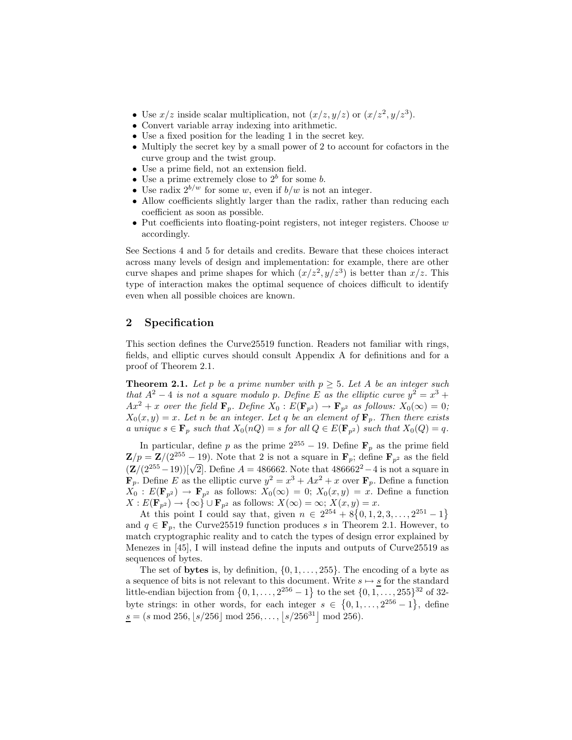- Use  $x/z$  inside scalar multiplication, not  $(x/z, y/z)$  or  $(x/z^2, y/z^3)$ .
- Convert variable array indexing into arithmetic.
- Use a fixed position for the leading 1 in the secret key.
- Multiply the secret key by a small power of 2 to account for cofactors in the curve group and the twist group.
- Use a prime field, not an extension field.
- Use a prime extremely close to  $2^b$  for some b.
- Use radix  $2^{b/w}$  for some w, even if  $b/w$  is not an integer.
- Allow coefficients slightly larger than the radix, rather than reducing each coefficient as soon as possible.
- Put coefficients into floating-point registers, not integer registers. Choose  $w$ accordingly.

See Sections 4 and 5 for details and credits. Beware that these choices interact across many levels of design and implementation: for example, there are other curve shapes and prime shapes for which  $(x/z^2, y/z^3)$  is better than  $x/z$ . This type of interaction makes the optimal sequence of choices difficult to identify even when all possible choices are known.

### 2 Specification

This section defines the Curve25519 function. Readers not familiar with rings, fields, and elliptic curves should consult Appendix A for definitions and for a proof of Theorem 2.1.

**Theorem 2.1.** Let p be a prime number with  $p \geq 5$ . Let A be an integer such that  $A^2 - 4$  is not a square modulo p. Define E as the elliptic curve  $y^2 = x^3 +$  $Ax^2 + x$  over the field  $\mathbf{F}_p$ . Define  $X_0 : E(\mathbf{F}_{p^2}) \to \mathbf{F}_{p^2}$  as follows:  $X_0(\infty) = 0$ ;  $X_0(x, y) = x$ . Let n be an integer. Let q be an element of  $\mathbf{F}_p$ . Then there exists a unique  $s \in \mathbf{F}_p$  such that  $X_0(nQ) = s$  for all  $Q \in E(\mathbf{F}_{p^2})$  such that  $X_0(Q) = q$ .

In particular, define p as the prime  $2^{255} - 19$ . Define  $\mathbf{F}_p$  as the prime field  $\mathbf{Z}/p = \mathbf{Z}/(2^{255} - 19)$ . Note that 2 is not a square in  $\mathbf{F}_p$ ; define  $\mathbf{F}_{p^2}$  as the field  $(\mathbf{Z}/(2^{255}-19))[\sqrt{2}]$ . Define  $A = 486662$ . Note that  $486662^2-4$  is not a square in  $\mathbf{F}_p$ . Define E as the elliptic curve  $y^2 = x^3 + Ax^2 + x$  over  $\mathbf{F}_p$ . Define a function  $X_0 : E(\mathbf{F}_{p^2}) \to \mathbf{F}_{p^2}$  as follows:  $X_0(\infty) = 0$ ;  $X_0(x, y) = x$ . Define a function  $X: E(\mathbf{F}_{p^2}) \to \{\infty\} \cup \mathbf{F}_{p^2}$  as follows:  $X(\infty) = \infty$ ;  $X(x, y) = x$ .

At this point I could say that, given  $n \in 2^{254} + 8{0, 1, 2, 3, ..., 2^{251} - 1}$ and  $q \in \mathbf{F}_p$ , the Curve25519 function produces s in Theorem 2.1. However, to match cryptographic reality and to catch the types of design error explained by Menezes in [45], I will instead define the inputs and outputs of Curve25519 as sequences of bytes.

The set of **bytes** is, by definition,  $\{0, 1, \ldots, 255\}$ . The encoding of a byte as a sequence of bits is not relevant to this document. Write  $s \mapsto s$  for the standard little-endian bijection from  $\{0, 1, ..., 2^{256} - 1\}$  to the set  $\{0, 1, ..., 2^{55}\}^3$  of 32byte strings: in other words, for each integer  $s \in \{0, 1, ..., 2^{256} - 1\}$ , define  $s = (s \mod 256, \lfloor s/256 \rfloor \mod 256, \ldots, \lfloor s/256^{31} \rfloor \mod 256).$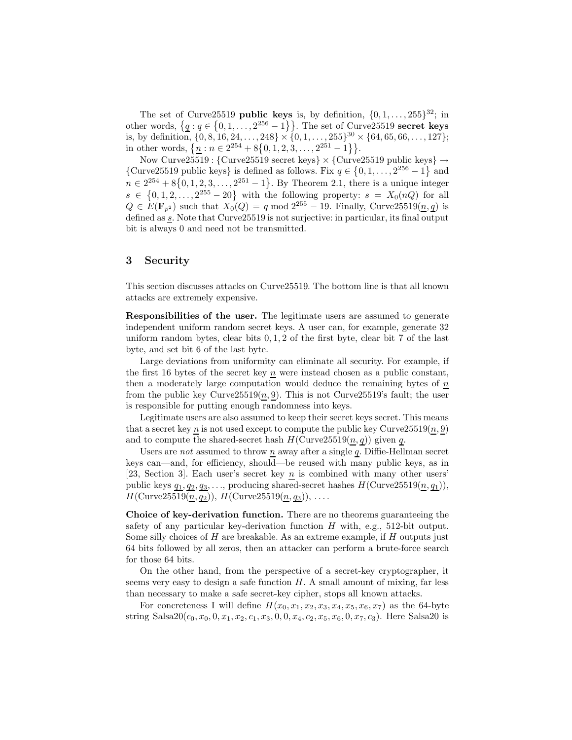The set of Curve25519 public keys is, by definition,  $\{0, 1, \ldots, 255\}^{32}$ ; in other words,  $\{q : q \in \{0, 1, ..., 2^{256} - 1\}\}\.$  The set of Curve 25519 secret keys is, by definition,  $\{0, 8, 16, 24, \ldots, 248\} \times \{0, 1, \ldots, 255\}^{30} \times \{64, 65, 66, \ldots, 127\};$ in other words,  $\{ \underline{n} : n \in 2^{254} + 8 \{ 0, 1, 2, 3, \dots, 2^{251} - 1 \} \}$ .

Now Curve $25\overline{519}$ : {Curve $25\overline{19}$  secret keys}  $\times$  {Curve $25519$  public keys}  $\rightarrow$ {Curve25519 public keys} is defined as follows. Fix  $q \in \{0, 1, ..., 2^{256} - 1\}$  and  $n \in 2^{254} + 8{0, 1, 2, 3, ..., 2^{251} - 1}$ . By Theorem 2.1, there is a unique integer  $s \in \{0, 1, 2, \ldots, 2^{255} - 20\}$  with the following property:  $s = X_0(nQ)$  for all  $Q \in E(\mathbf{F}_{p^2})$  such that  $X_0(Q) = q \mod 2^{255} - 19$ . Finally, Curve  $25519(n, q)$  is defined as s. Note that Curve25519 is not surjective: in particular, its final output bit is always 0 and need not be transmitted.

## 3 Security

This section discusses attacks on Curve25519. The bottom line is that all known attacks are extremely expensive.

Responsibilities of the user. The legitimate users are assumed to generate independent uniform random secret keys. A user can, for example, generate 32 uniform random bytes, clear bits 0, 1, 2 of the first byte, clear bit 7 of the last byte, and set bit 6 of the last byte.

Large deviations from uniformity can eliminate all security. For example, if the first 16 bytes of the secret key n were instead chosen as a public constant, then a moderately large computation would deduce the remaining bytes of  $n$ from the public key Curve $25519(n, 9)$ . This is not Curve $25519's$  fault; the user is responsible for putting enough randomness into keys.

Legitimate users are also assumed to keep their secret keys secret. This means that a secret key n is not used except to compute the public key Curve  $25519(n, 9)$ and to compute the shared-secret hash  $H(\text{Curve}25519(n, q))$  given q.

Users are *not* assumed to throw  $\underline{n}$  away after a single  $\underline{q}$ . Diffie-Hellman secret keys can—and, for efficiency, should—be reused with many public keys, as in [23, Section 3]. Each user's secret key  $n$  is combined with many other users' public keys  $q_1, q_2, q_3, \ldots$ , producing shared-secret hashes  $H(\text{Curve}25519(n, q_1)),$  $H(\text{Curve25519}(n, q_2)), H(\text{Curve25519}(n, q_3)), \ldots$ 

Choice of key-derivation function. There are no theorems guaranteeing the safety of any particular key-derivation function  $H$  with, e.g., 512-bit output. Some silly choices of H are breakable. As an extreme example, if H outputs just 64 bits followed by all zeros, then an attacker can perform a brute-force search for those 64 bits.

On the other hand, from the perspective of a secret-key cryptographer, it seems very easy to design a safe function  $H$ . A small amount of mixing, far less than necessary to make a safe secret-key cipher, stops all known attacks.

For concreteness I will define  $H(x_0, x_1, x_2, x_3, x_4, x_5, x_6, x_7)$  as the 64-byte string Salsa20( $c_0$ ,  $x_0$ , 0,  $x_1$ ,  $x_2$ ,  $c_1$ ,  $x_3$ , 0, 0,  $x_4$ ,  $c_2$ ,  $x_5$ ,  $x_6$ , 0,  $x_7$ ,  $c_3$ ). Here Salsa20 is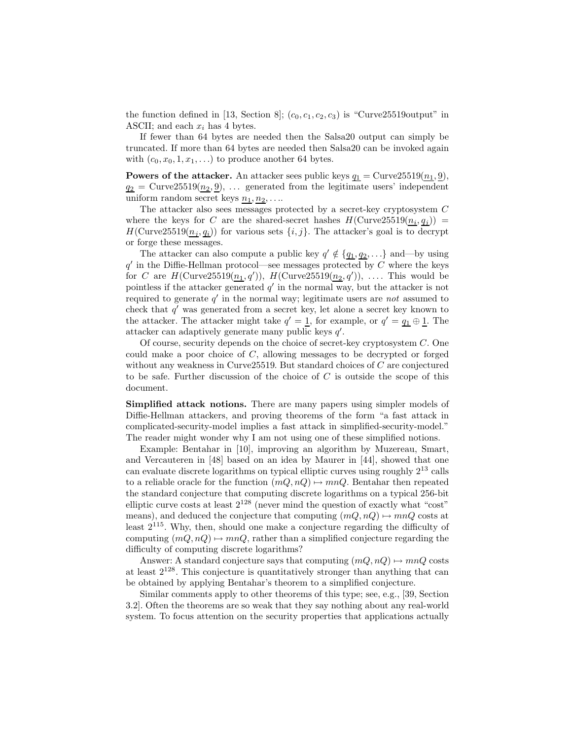the function defined in [13, Section 8];  $(c_0, c_1, c_2, c_3)$  is "Curve25519output" in ASCII; and each  $x_i$  has 4 bytes.

If fewer than 64 bytes are needed then the Salsa20 output can simply be truncated. If more than 64 bytes are needed then Salsa20 can be invoked again with  $(c_0, x_0, 1, x_1, \ldots)$  to produce another 64 bytes.

**Powers of the attacker.** An attacker sees public keys  $q_1 = \text{Curve}25519(n_1, 9)$ ,  $q_2$  = Curve25519( $n_2$ , 9), ... generated from the legitimate users' independent uniform random secret keys  $n_1, n_2, \ldots$ 

The attacker also sees messages protected by a secret-key cryptosystem C where the keys for C are the shared-secret hashes  $H(\text{Curve}25519(n_i, q_i))$  =  $H(\text{Curve25519}(n_i, q_i))$  for various sets  $\{i, j\}$ . The attacker's goal is to decrypt or forge these messages.

The attacker can also compute a public key  $q' \notin \{q_1, q_2, \ldots\}$  and—by using  $q'$  in the Diffie-Hellman protocol—see messages protected by C where the keys for C are  $H(\text{Curve}25519(\underline{n_1}, q'))$ ,  $H(\text{Curve}25519(\underline{n_2}, q'))$ , .... This would be pointless if the attacker generated  $q'$  in the normal way, but the attacker is not required to generate  $q'$  in the normal way; legitimate users are not assumed to check that  $q'$  was generated from a secret key, let alone a secret key known to the attacker. The attacker might take  $q' = 1$ , for example, or  $q' = q_1 \oplus 1$ . The attacker can adaptively generate many public keys  $q'$ .

Of course, security depends on the choice of secret-key cryptosystem C. One could make a poor choice of C, allowing messages to be decrypted or forged without any weakness in Curve25519. But standard choices of C are conjectured to be safe. Further discussion of the choice of  $C$  is outside the scope of this document.

Simplified attack notions. There are many papers using simpler models of Diffie-Hellman attackers, and proving theorems of the form "a fast attack in complicated-security-model implies a fast attack in simplified-security-model." The reader might wonder why I am not using one of these simplified notions.

Example: Bentahar in [10], improving an algorithm by Muzereau, Smart, and Vercauteren in [48] based on an idea by Maurer in [44], showed that one can evaluate discrete logarithms on typical elliptic curves using roughly 2<sup>13</sup> calls to a reliable oracle for the function  $(mQ, nQ) \mapsto mnQ$ . Bentahar then repeated the standard conjecture that computing discrete logarithms on a typical 256-bit elliptic curve costs at least  $2^{128}$  (never mind the question of exactly what "cost" means), and deduced the conjecture that computing  $(mQ, nQ) \mapsto mnQ$  costs at least 2<sup>115</sup>. Why, then, should one make a conjecture regarding the difficulty of computing  $(mQ, nQ) \mapsto mnQ$ , rather than a simplified conjecture regarding the difficulty of computing discrete logarithms?

Answer: A standard conjecture says that computing  $(mQ, nQ) \mapsto mnQ$  costs at least 2<sup>128</sup>. This conjecture is quantitatively stronger than anything that can be obtained by applying Bentahar's theorem to a simplified conjecture.

Similar comments apply to other theorems of this type; see, e.g., [39, Section 3.2]. Often the theorems are so weak that they say nothing about any real-world system. To focus attention on the security properties that applications actually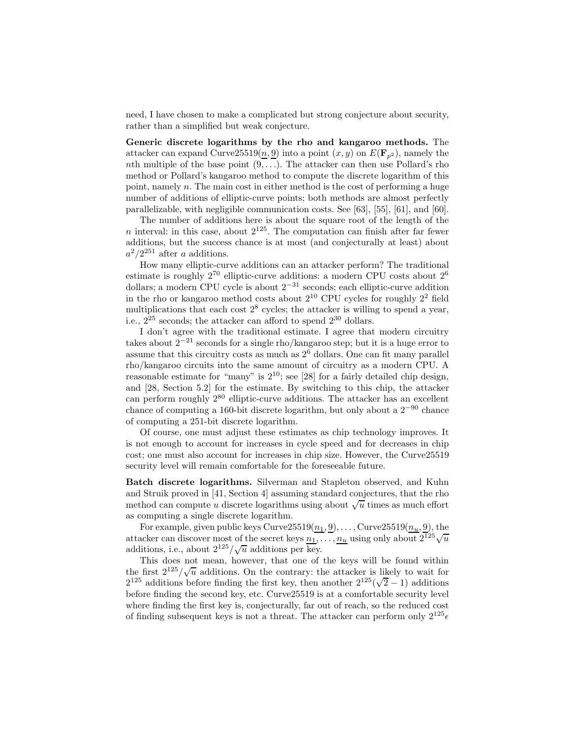need, I have chosen to make a complicated but strong conjecture about security, rather than a simplified but weak conjecture.

Generic discrete logarithms by the rho and kangaroo methods. The attacker can expand Curve25519( $n$ , 9) into a point  $(x, y)$  on  $E(\mathbf{F}_{p^2})$ , namely the nth multiple of the base point  $(9, \ldots)$ . The attacker can then use Pollard's rho method or Pollard's kangaroo method to compute the discrete logarithm of this point, namely  $n$ . The main cost in either method is the cost of performing a huge number of additions of elliptic-curve points; both methods are almost perfectly parallelizable, with negligible communication costs. See [63], [55], [61], and [60].

The number of additions here is about the square root of the length of the n interval: in this case, about  $2^{125}$ . The computation can finish after far fewer additions, but the success chance is at most (and conjecturally at least) about  $a^2/2^{251}$  after a additions.

How many elliptic-curve additions can an attacker perform? The traditional estimate is roughly  $2^{70}$  elliptic-curve additions: a modern CPU costs about  $2^6$ dollars; a modern CPU cycle is about  $2^{-31}$  seconds; each elliptic-curve addition in the rho or kangaroo method costs about  $2^{10}$  CPU cycles for roughly  $2^2$  field multiplications that each cost  $2^8$  cycles; the attacker is willing to spend a year, i.e.,  $2^{25}$  seconds; the attacker can afford to spend  $2^{30}$  dollars.

I don't agree with the traditional estimate. I agree that modern circuitry takes about  $2^{-21}$  seconds for a single rho/kangaroo step; but it is a huge error to assume that this circuitry costs as much as  $2<sup>6</sup>$  dollars. One can fit many parallel rho/kangaroo circuits into the same amount of circuitry as a modern CPU. A reasonable estimate for "many" is  $2^{10}$ ; see [28] for a fairly detailed chip design, and [28, Section 5.2] for the estimate. By switching to this chip, the attacker can perform roughly 2<sup>80</sup> elliptic-curve additions. The attacker has an excellent chance of computing a 160-bit discrete logarithm, but only about a  $2^{-90}$  chance of computing a 251-bit discrete logarithm.

Of course, one must adjust these estimates as chip technology improves. It is not enough to account for increases in cycle speed and for decreases in chip cost; one must also account for increases in chip size. However, the Curve25519 security level will remain comfortable for the foreseeable future.

Batch discrete logarithms. Silverman and Stapleton observed, and Kuhn and Struik proved in [41, Section 4] assuming standard conjectures, that the rho method can compute u discrete logarithms using about  $\sqrt{u}$  times as much effort as computing a single discrete logarithm.

For example, given public keys Curve $25519(n_1, 9), \ldots$ , Curve $25519(n_u, 9)$ , the attacker can discover most of the secret keys  $n_1, \ldots, n_u$  using only about  $2^{125}\sqrt{u}$ additions, i.e., about  $2^{125}/\sqrt{u}$  additions per key.

This does not mean, however, that one of the keys will be found within the first  $2^{125}/\sqrt{u}$  additions. On the contrary: the attacker is likely to wait for 2<sup>125</sup> additions before finding the first key, then another  $2^{125}(\sqrt{2}-1)$  additions before finding the second key, etc. Curve25519 is at a comfortable security level where finding the first key is, conjecturally, far out of reach, so the reduced cost of finding subsequent keys is not a threat. The attacker can perform only  $2^{125}\epsilon$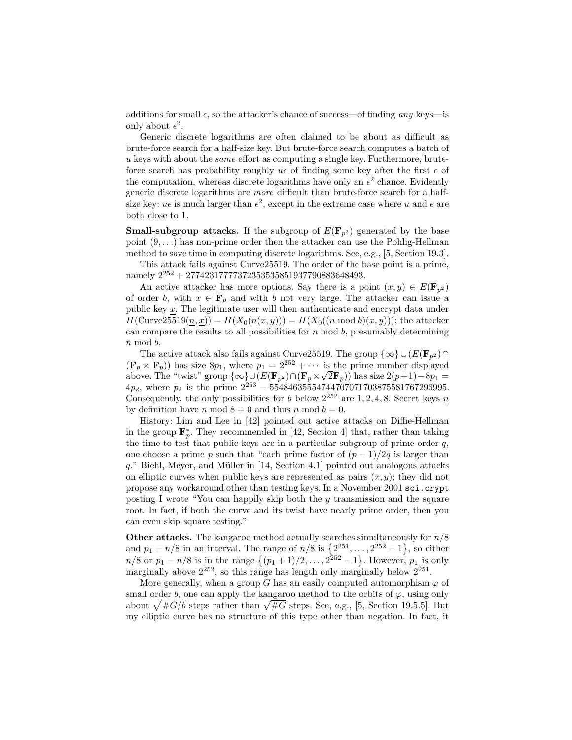additions for small  $\epsilon$ , so the attacker's chance of success—of finding any keys—is only about  $\epsilon^2$ .

Generic discrete logarithms are often claimed to be about as difficult as brute-force search for a half-size key. But brute-force search computes a batch of  $u$  keys with about the *same* effort as computing a single key. Furthermore, bruteforce search has probability roughly  $u\epsilon$  of finding some key after the first  $\epsilon$  of the computation, whereas discrete logarithms have only an  $\epsilon^2$  chance. Evidently generic discrete logarithms are more difficult than brute-force search for a halfsize key:  $u\epsilon$  is much larger than  $\epsilon^2$ , except in the extreme case where u and  $\epsilon$  are both close to 1.

**Small-subgroup attacks.** If the subgroup of  $E(\mathbf{F}_{n^2})$  generated by the base point  $(9, \ldots)$  has non-prime order then the attacker can use the Pohlig-Hellman method to save time in computing discrete logarithms. See, e.g., [5, Section 19.3].

This attack fails against Curve25519. The order of the base point is a prime, namely  $2^{252} + 27742317777372353535851937790883648493.$ 

An active attacker has more options. Say there is a point  $(x, y) \in E(\mathbf{F}_{p^2})$ of order b, with  $x \in \mathbf{F}_p$  and with b not very large. The attacker can issue a public key x. The legitimate user will then authenticate and encrypt data under  $H(\text{Curve25519}(n, x)) = H(X_0(n(x, y))) = H(X_0((n \mod b)(x, y)))$ ; the attacker can compare the results to all possibilities for  $n \mod b$ , presumably determining n mod b.

The active attack also fails against Curve25519. The group  $\{\infty\} \cup (E(\mathbf{F}_{p^2}) \cap$  $(\mathbf{F}_p \times \mathbf{F}_p)$  has size  $8p_1$ , where  $p_1 = 2^{252} + \cdots$  is the prime number displayed above. The "twist" group  $\{\infty\}\cup\{E(\mathbf{F}_{p^2})\cap(\mathbf{F}_{p}\times\sqrt{2\mathbf{F}_{p}})\}$  has size  $2(p+1)-8p_1=$  $4p_2$ , where  $p_2$  is the prime  $2^{253} - 55484635554744707071703875581767296995$ . Consequently, the only possibilities for b below  $2^{252}$  are 1, 2, 4, 8. Secret keys n by definition have n mod  $8 = 0$  and thus n mod  $b = 0$ .

History: Lim and Lee in [42] pointed out active attacks on Diffie-Hellman in the group  $\mathbf{F}_p^*$ . They recommended in [42, Section 4] that, rather than taking the time to test that public keys are in a particular subgroup of prime order  $q$ , one choose a prime p such that "each prime factor of  $(p-1)/2q$  is larger than q." Biehl, Meyer, and Müller in  $[14, Section 4.1]$  pointed out analogous attacks on elliptic curves when public keys are represented as pairs  $(x, y)$ ; they did not propose any workaround other than testing keys. In a November 2001 sci.crypt posting I wrote "You can happily skip both the y transmission and the square root. In fact, if both the curve and its twist have nearly prime order, then you can even skip square testing."

**Other attacks.** The kangaroo method actually searches simultaneously for  $n/8$ and  $p_1 - n/8$  in an interval. The range of  $n/8$  is  $\{2^{251}, \ldots, 2^{252} - 1\}$ , so either  $n/8$  or  $p_1 - n/8$  is in the range  $\{(p_1 + 1)/2, ..., 2^{252} - 1\}$ . However,  $p_1$  is only marginally above  $2^{252}$ , so this range has length only marginally below  $2^{251}$ .

More generally, when a group G has an easily computed automorphism  $\varphi$  of small order b, one can apply the kangaroo method to the orbits of  $\varphi$ , using only about  $\sqrt{\#G/b}$  steps rather than  $\sqrt{\#G}$  steps. See, e.g., [5, Section 19.5.5]. But my elliptic curve has no structure of this type other than negation. In fact, it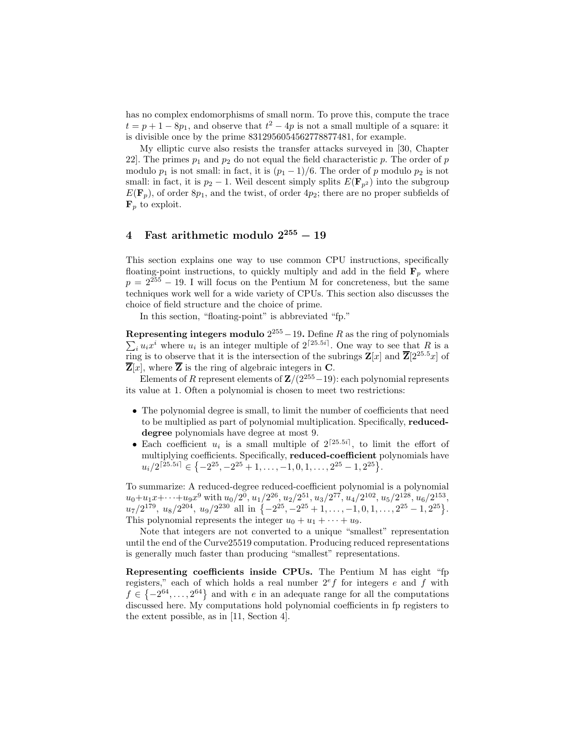has no complex endomorphisms of small norm. To prove this, compute the trace  $t = p + 1 - 8p_1$ , and observe that  $t^2 - 4p$  is not a small multiple of a square: it is divisible once by the prime 8312956054562778877481, for example.

My elliptic curve also resists the transfer attacks surveyed in [30, Chapter 22. The primes  $p_1$  and  $p_2$  do not equal the field characteristic p. The order of p modulo  $p_1$  is not small: in fact, it is  $(p_1 - 1)/6$ . The order of p modulo  $p_2$  is not small: in fact, it is  $p_2 - 1$ . Weil descent simply splits  $E(\mathbf{F}_{p^2})$  into the subgroup  $E(\mathbf{F}_p)$ , of order  $8p_1$ , and the twist, of order  $4p_2$ ; there are no proper subfields of  $\mathbf{F}_p$  to exploit.

# 4 Fast arithmetic modulo  $2^{255} - 19$

This section explains one way to use common CPU instructions, specifically floating-point instructions, to quickly multiply and add in the field  $\mathbf{F}_n$  where  $p = 2^{255} - 19$ . I will focus on the Pentium M for concreteness, but the same techniques work well for a wide variety of CPUs. This section also discusses the choice of field structure and the choice of prime.

In this section, "floating-point" is abbreviated "fp."

Representing integers modulo  $2^{255} - 19$ . Define R as the ring of polynomials  $\sum_i u_i x^i$  where  $u_i$  is an integer multiple of  $2^{[25.5i]}$ . One way to see that R is a ring is to observe that it is the intersection of the subrings  $\mathbf{Z}[x]$  and  $\overline{\mathbf{Z}}[2^{25.5}x]$  of  $\overline{\mathbf{Z}}[x]$ , where  $\overline{\mathbf{Z}}$  is the ring of algebraic integers in C.

Elements of R represent elements of  $\mathbb{Z}/(2^{255}-19)$ : each polynomial represents its value at 1. Often a polynomial is chosen to meet two restrictions:

- The polynomial degree is small, to limit the number of coefficients that need to be multiplied as part of polynomial multiplication. Specifically, reduceddegree polynomials have degree at most 9.
- Each coefficient  $u_i$  is a small multiple of  $2^{[25.5i]}$ , to limit the effort of multiplying coefficients. Specifically, reduced-coefficient polynomials have  $u_i/2^{\lceil 25.5i \rceil} \in \{-2^{25}, -2^{25} + 1, \ldots, -1, 0, 1, \ldots, 2^{25} - 1, 2^{25} \}.$

To summarize: A reduced-degree reduced-coefficient polynomial is a polynomial  $u_0+u_1x+\cdots+u_9x^9$  with  $u_0/2^0$ ,  $u_1/2^{26}$ ,  $u_2/2^{51}$ ,  $u_3/2^{77}$ ,  $u_4/2^{102}$ ,  $u_5/2^{128}$ ,  $u_6/2^{153}$ ,  $u_7/2^{179}, u_8/2^{204}, u_9/2^{230}$  all in  $\{-2^{25}, -2^{25} + 1, \ldots, -1, 0, 1, \ldots, 2^{25} - 1, 2^{25}\}.$ This polynomial represents the integer  $u_0 + u_1 + \cdots + u_9$ .

Note that integers are not converted to a unique "smallest" representation until the end of the Curve25519 computation. Producing reduced representations is generally much faster than producing "smallest" representations.

Representing coefficients inside CPUs. The Pentium M has eight "fp registers," each of which holds a real number  $2^e f$  for integers e and f with  $f \in \{-2^{64}, \ldots, 2^{64}\}$  and with e in an adequate range for all the computations discussed here. My computations hold polynomial coefficients in fp registers to the extent possible, as in [11, Section 4].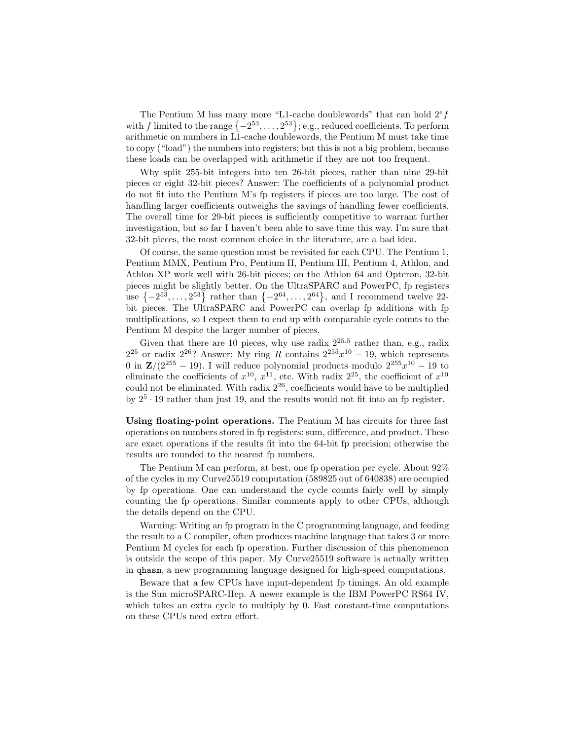The Pentium M has many more "L1-cache doublewords" that can hold  $2^e f$ with f limited to the range  $\{-2^{53}, \ldots, 2^{53}\}$ ; e.g., reduced coefficients. To perform arithmetic on numbers in L1-cache doublewords, the Pentium M must take time to copy ("load") the numbers into registers; but this is not a big problem, because these loads can be overlapped with arithmetic if they are not too frequent.

Why split 255-bit integers into ten 26-bit pieces, rather than nine 29-bit pieces or eight 32-bit pieces? Answer: The coefficients of a polynomial product do not fit into the Pentium M's fp registers if pieces are too large. The cost of handling larger coefficients outweighs the savings of handling fewer coefficients. The overall time for 29-bit pieces is sufficiently competitive to warrant further investigation, but so far I haven't been able to save time this way. I'm sure that 32-bit pieces, the most common choice in the literature, are a bad idea.

Of course, the same question must be revisited for each CPU. The Pentium 1, Pentium MMX, Pentium Pro, Pentium II, Pentium III, Pentium 4, Athlon, and Athlon XP work well with 26-bit pieces; on the Athlon 64 and Opteron, 32-bit pieces might be slightly better. On the UltraSPARC and PowerPC, fp registers use  $\{-2^{53}, \ldots, 2^{53}\}$  rather than  $\{-2^{64}, \ldots, 2^{64}\}$ , and I recommend twelve 22bit pieces. The UltraSPARC and PowerPC can overlap fp additions with fp multiplications, so I expect them to end up with comparable cycle counts to the Pentium M despite the larger number of pieces.

Given that there are 10 pieces, why use radix  $2^{25.5}$  rather than, e.g., radix  $2^{25}$  or radix  $2^{26}$ ? Answer: My ring R contains  $2^{255}x^{10} - 19$ , which represents 0 in  $\mathbb{Z}/(2^{255} - 19)$ . I will reduce polynomial products modulo  $2^{255}x^{10} - 19$  to eliminate the coefficients of  $x^{10}$ ,  $x^{11}$ , etc. With radix  $2^{25}$ , the coefficient of  $x^{10}$ could not be eliminated. With radix  $2^{26}$ , coefficients would have to be multiplied by  $2^5 \cdot 19$  rather than just 19, and the results would not fit into an fp register.

Using floating-point operations. The Pentium M has circuits for three fast operations on numbers stored in fp registers: sum, difference, and product. These are exact operations if the results fit into the 64-bit fp precision; otherwise the results are rounded to the nearest fp numbers.

The Pentium M can perform, at best, one fp operation per cycle. About 92% of the cycles in my Curve25519 computation (589825 out of 640838) are occupied by fp operations. One can understand the cycle counts fairly well by simply counting the fp operations. Similar comments apply to other CPUs, although the details depend on the CPU.

Warning: Writing an fp program in the C programming language, and feeding the result to a C compiler, often produces machine language that takes 3 or more Pentium M cycles for each fp operation. Further discussion of this phenomenon is outside the scope of this paper. My Curve25519 software is actually written in qhasm, a new programming language designed for high-speed computations.

Beware that a few CPUs have input-dependent fp timings. An old example is the Sun microSPARC-IIep. A newer example is the IBM PowerPC RS64 IV, which takes an extra cycle to multiply by 0. Fast constant-time computations on these CPUs need extra effort.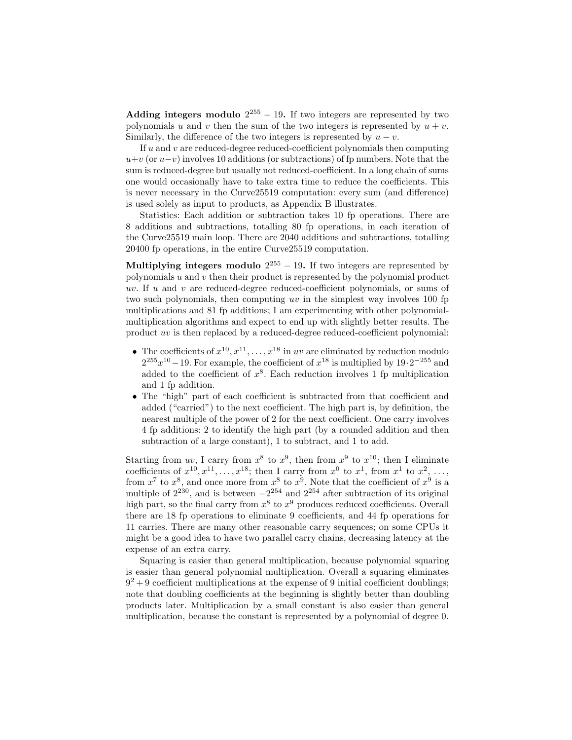Adding integers modulo  $2^{255} - 19$ . If two integers are represented by two polynomials u and v then the sum of the two integers is represented by  $u + v$ . Similarly, the difference of the two integers is represented by  $u - v$ .

If  $u$  and  $v$  are reduced-degree reduced-coefficient polynomials then computing  $u+v$  (or  $u-v$ ) involves 10 additions (or subtractions) of fp numbers. Note that the sum is reduced-degree but usually not reduced-coefficient. In a long chain of sums one would occasionally have to take extra time to reduce the coefficients. This is never necessary in the Curve25519 computation: every sum (and difference) is used solely as input to products, as Appendix B illustrates.

Statistics: Each addition or subtraction takes 10 fp operations. There are 8 additions and subtractions, totalling 80 fp operations, in each iteration of the Curve25519 main loop. There are 2040 additions and subtractions, totalling 20400 fp operations, in the entire Curve25519 computation.

Multiplying integers modulo  $2^{255} - 19$ . If two integers are represented by polynomials  $u$  and  $v$  then their product is represented by the polynomial product uv. If  $u$  and  $v$  are reduced-degree reduced-coefficient polynomials, or sums of two such polynomials, then computing  $uv$  in the simplest way involves 100 fp multiplications and 81 fp additions; I am experimenting with other polynomialmultiplication algorithms and expect to end up with slightly better results. The product uv is then replaced by a reduced-degree reduced-coefficient polynomial:

- The coefficients of  $x^{10}, x^{11}, \ldots, x^{18}$  in uv are eliminated by reduction modulo  $2^{255}x^{10}-19$ . For example, the coefficient of  $x^{18}$  is multiplied by  $19 \cdot 2^{-255}$  and added to the coefficient of  $x^8$ . Each reduction involves 1 fp multiplication and 1 fp addition.
- The "high" part of each coefficient is subtracted from that coefficient and added ("carried") to the next coefficient. The high part is, by definition, the nearest multiple of the power of 2 for the next coefficient. One carry involves 4 fp additions: 2 to identify the high part (by a rounded addition and then subtraction of a large constant), 1 to subtract, and 1 to add.

Starting from uv, I carry from  $x^8$  to  $x^9$ , then from  $x^9$  to  $x^{10}$ ; then I eliminate coefficients of  $x^{10}, x^{11}, \ldots, x^{18}$ ; then I carry from  $x^0$  to  $x^1$ , from  $x^1$  to  $x^2, \ldots$ , from  $x^7$  to  $x^8$ , and once more from  $x^8$  to  $x^9$ . Note that the coefficient of  $x^9$  is a multiple of  $2^{230}$ , and is between  $-2^{254}$  and  $2^{254}$  after subtraction of its original high part, so the final carry from  $x^8$  to  $x^9$  produces reduced coefficients. Overall there are 18 fp operations to eliminate 9 coefficients, and 44 fp operations for 11 carries. There are many other reasonable carry sequences; on some CPUs it might be a good idea to have two parallel carry chains, decreasing latency at the expense of an extra carry.

Squaring is easier than general multiplication, because polynomial squaring is easier than general polynomial multiplication. Overall a squaring eliminates  $9^2 + 9$  coefficient multiplications at the expense of 9 initial coefficient doublings; note that doubling coefficients at the beginning is slightly better than doubling products later. Multiplication by a small constant is also easier than general multiplication, because the constant is represented by a polynomial of degree 0.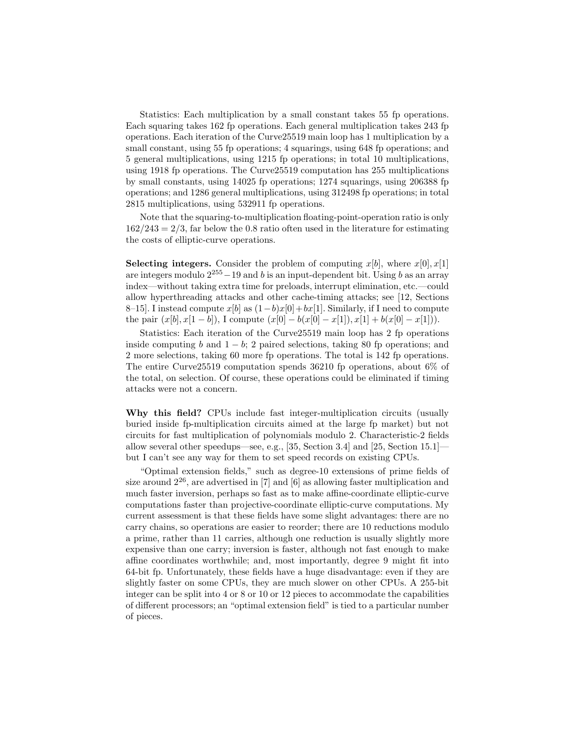Statistics: Each multiplication by a small constant takes 55 fp operations. Each squaring takes 162 fp operations. Each general multiplication takes 243 fp operations. Each iteration of the Curve25519 main loop has 1 multiplication by a small constant, using 55 fp operations; 4 squarings, using 648 fp operations; and 5 general multiplications, using 1215 fp operations; in total 10 multiplications, using 1918 fp operations. The Curve25519 computation has 255 multiplications by small constants, using 14025 fp operations; 1274 squarings, using 206388 fp operations; and 1286 general multiplications, using 312498 fp operations; in total 2815 multiplications, using 532911 fp operations.

Note that the squaring-to-multiplication floating-point-operation ratio is only  $162/243 = 2/3$ , far below the 0.8 ratio often used in the literature for estimating the costs of elliptic-curve operations.

**Selecting integers.** Consider the problem of computing  $x[b]$ , where  $x[0], x[1]$ are integers modulo  $2^{255} - 19$  and b is an input-dependent bit. Using b as an array index—without taking extra time for preloads, interrupt elimination, etc.—could allow hyperthreading attacks and other cache-timing attacks; see [12, Sections 8–15]. I instead compute  $x[b]$  as  $(1-b)x[0]+bx[1]$ . Similarly, if I need to compute the pair  $(x[b], x[1-b])$ , I compute  $(x[0] - b(x[0] - x[1])$ ,  $x[1] + b(x[0] - x[1])$ .

Statistics: Each iteration of the Curve25519 main loop has 2 fp operations inside computing b and  $1 - b$ ; 2 paired selections, taking 80 fp operations; and 2 more selections, taking 60 more fp operations. The total is 142 fp operations. The entire Curve25519 computation spends 36210 fp operations, about 6% of the total, on selection. Of course, these operations could be eliminated if timing attacks were not a concern.

Why this field? CPUs include fast integer-multiplication circuits (usually buried inside fp-multiplication circuits aimed at the large fp market) but not circuits for fast multiplication of polynomials modulo 2. Characteristic-2 fields allow several other speedups—see, e.g., [35, Section 3.4] and [25, Section 15.1] but I can't see any way for them to set speed records on existing CPUs.

"Optimal extension fields," such as degree-10 extensions of prime fields of size around  $2^{26}$ , are advertised in [7] and [6] as allowing faster multiplication and much faster inversion, perhaps so fast as to make affine-coordinate elliptic-curve computations faster than projective-coordinate elliptic-curve computations. My current assessment is that these fields have some slight advantages: there are no carry chains, so operations are easier to reorder; there are 10 reductions modulo a prime, rather than 11 carries, although one reduction is usually slightly more expensive than one carry; inversion is faster, although not fast enough to make affine coordinates worthwhile; and, most importantly, degree 9 might fit into 64-bit fp. Unfortunately, these fields have a huge disadvantage: even if they are slightly faster on some CPUs, they are much slower on other CPUs. A 255-bit integer can be split into 4 or 8 or 10 or 12 pieces to accommodate the capabilities of different processors; an "optimal extension field" is tied to a particular number of pieces.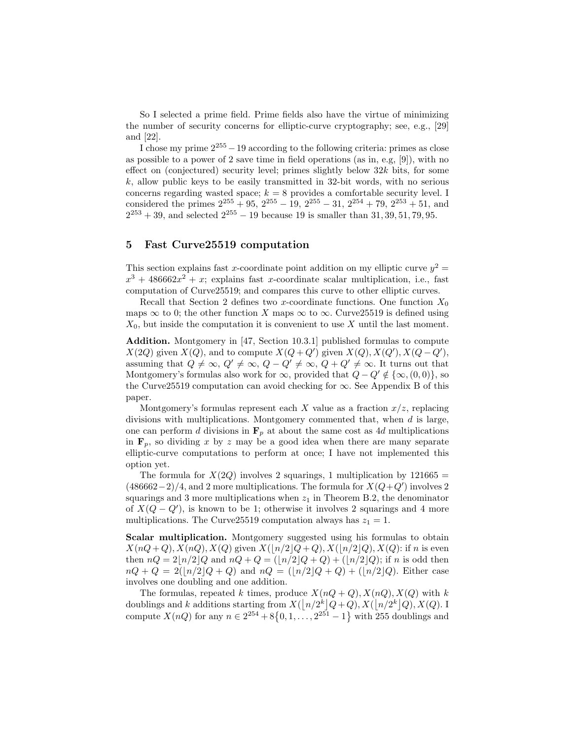So I selected a prime field. Prime fields also have the virtue of minimizing the number of security concerns for elliptic-curve cryptography; see, e.g., [29] and [22].

I chose my prime  $2^{255} - 19$  according to the following criteria: primes as close as possible to a power of 2 save time in field operations (as in, e.g, [9]), with no effect on (conjectured) security level; primes slightly below  $32k$  bits, for some  $k$ , allow public keys to be easily transmitted in 32-bit words, with no serious concerns regarding wasted space;  $k = 8$  provides a comfortable security level. I considered the primes  $2^{255} + 95$ ,  $2^{255} - 19$ ,  $2^{255} - 31$ ,  $2^{254} + 79$ ,  $2^{253} + 51$ , and  $2^{253} + 39$ , and selected  $2^{255} - 19$  because 19 is smaller than 31, 39, 51, 79, 95.

### 5 Fast Curve25519 computation

This section explains fast x-coordinate point addition on my elliptic curve  $y^2 =$  $x^3 + 486662x^2 + x$ ; explains fast x-coordinate scalar multiplication, i.e., fast computation of Curve25519; and compares this curve to other elliptic curves.

Recall that Section 2 defines two x-coordinate functions. One function  $X_0$ maps  $\infty$  to 0; the other function X maps  $\infty$  to  $\infty$ . Curve25519 is defined using  $X_0$ , but inside the computation it is convenient to use X until the last moment.

Addition. Montgomery in [47, Section 10.3.1] published formulas to compute  $X(2Q)$  given  $X(Q)$ , and to compute  $X(Q+Q')$  given  $X(Q)$ ,  $X(Q')$ ,  $X(Q-Q')$ , assuming that  $Q \neq \infty$ ,  $Q' \neq \infty$ ,  $Q - Q' \neq \infty$ ,  $Q + Q' \neq \infty$ . It turns out that Montgomery's formulas also work for  $\infty$ , provided that  $Q - Q' \notin {\infty, (0, 0)}$ , so the Curve25519 computation can avoid checking for  $\infty$ . See Appendix B of this paper.

Montgomery's formulas represent each X value as a fraction  $x/z$ , replacing divisions with multiplications. Montgomery commented that, when  $d$  is large, one can perform d divisions in  $\mathbf{F}_p$  at about the same cost as 4d multiplications in  $\mathbf{F}_p$ , so dividing x by z may be a good idea when there are many separate elliptic-curve computations to perform at once; I have not implemented this option yet.

The formula for  $X(2Q)$  involves 2 squarings, 1 multiplication by 121665 =  $(486662-2)/4$ , and 2 more multiplications. The formula for  $X(Q+Q')$  involves 2 squarings and 3 more multiplications when  $z_1$  in Theorem B.2, the denominator of  $X(Q - Q')$ , is known to be 1; otherwise it involves 2 squarings and 4 more multiplications. The Curve 25519 computation always has  $z_1 = 1$ .

Scalar multiplication. Montgomery suggested using his formulas to obtain  $X(nQ + Q), X(nQ), X(Q)$  given  $X([n/2]Q + Q), X([n/2]Q), X(Q)$ : if n is even then  $nQ = 2\lfloor n/2\rfloor Q$  and  $nQ + Q = (\lfloor n/2\rfloor Q + Q) + (\lfloor n/2\rfloor Q);$  if n is odd then  $nQ + Q = 2(|n/2|Q + Q)$  and  $nQ = (|n/2|Q + Q) + (|n/2|Q)$ . Either case involves one doubling and one addition.

The formulas, repeated k times, produce  $X(nQ+Q), X(nQ), X(Q)$  with k doublings and k additions starting from  $X(|n/2^k|Q+Q), X(|n/2^k|Q), X(Q)$ . I compute  $X(nQ)$  for any  $n \in 2^{254} + 8{0, 1, ..., 2^{251} - 1}$  with 255 doublings and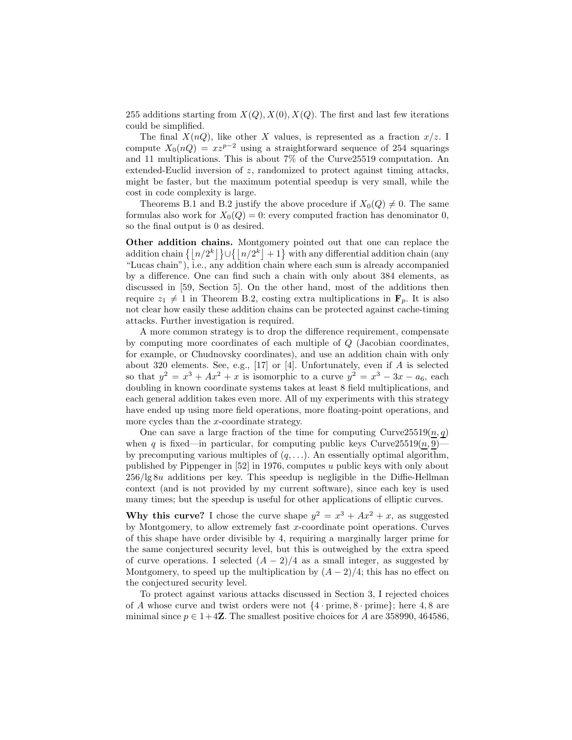255 additions starting from  $X(Q), X(0), X(Q)$ . The first and last few iterations could be simplified.

The final  $X(nQ)$ , like other X values, is represented as a fraction  $x/z$ . I compute  $X_0(nQ) = xz^{p-2}$  using a straightforward sequence of 254 squarings and 11 multiplications. This is about 7% of the Curve25519 computation. An extended-Euclid inversion of z, randomized to protect against timing attacks, might be faster, but the maximum potential speedup is very small, while the cost in code complexity is large.

Theorems B.1 and B.2 justify the above procedure if  $X_0(Q) \neq 0$ . The same formulas also work for  $X_0(Q) = 0$ : every computed fraction has denominator 0, so the final output is 0 as desired.

Other addition chains. Montgomery pointed out that one can replace the addition chain  $\{ [n/2^k] \} \cup \{ [n/2^k] + 1 \}$  with any differential addition chain (any "Lucas chain"), i.e., any addition chain where each sum is already accompanied by a difference. One can find such a chain with only about 384 elements, as discussed in [59, Section 5]. On the other hand, most of the additions then require  $z_1 \neq 1$  in Theorem B.2, costing extra multiplications in  $\mathbf{F}_p$ . It is also not clear how easily these addition chains can be protected against cache-timing attacks. Further investigation is required.

A more common strategy is to drop the difference requirement, compensate by computing more coordinates of each multiple of Q (Jacobian coordinates, for example, or Chudnovsky coordinates), and use an addition chain with only about 320 elements. See, e.g., [17] or [4]. Unfortunately, even if A is selected so that  $y^2 = x^3 + Ax^2 + x$  is isomorphic to a curve  $y^2 = x^3 - 3x - a_6$ , each doubling in known coordinate systems takes at least 8 field multiplications, and each general addition takes even more. All of my experiments with this strategy have ended up using more field operations, more floating-point operations, and more cycles than the x-coordinate strategy.

One can save a large fraction of the time for computing  $Curves 25519(n, q)$ when q is fixed—in particular, for computing public keys Curve $25519(n, 9)$ by precomputing various multiples of  $(q, \ldots)$ . An essentially optimal algorithm, published by Pippenger in [52] in 1976, computes u public keys with only about  $256$ /lg  $8u$  additions per key. This speedup is negligible in the Diffie-Hellman context (and is not provided by my current software), since each key is used many times; but the speedup is useful for other applications of elliptic curves.

Why this curve? I chose the curve shape  $y^2 = x^3 + Ax^2 + x$ , as suggested by Montgomery, to allow extremely fast x-coordinate point operations. Curves of this shape have order divisible by 4, requiring a marginally larger prime for the same conjectured security level, but this is outweighed by the extra speed of curve operations. I selected  $(A-2)/4$  as a small integer, as suggested by Montgomery, to speed up the multiplication by  $(A-2)/4$ ; this has no effect on the conjectured security level.

To protect against various attacks discussed in Section 3, I rejected choices of A whose curve and twist orders were not  $\{4 \cdot \text{prime}, 8 \cdot \text{prime}\}\;$ ; here  $4, 8$  are minimal since  $p \in 1+4\mathbb{Z}$ . The smallest positive choices for A are 358990, 464586,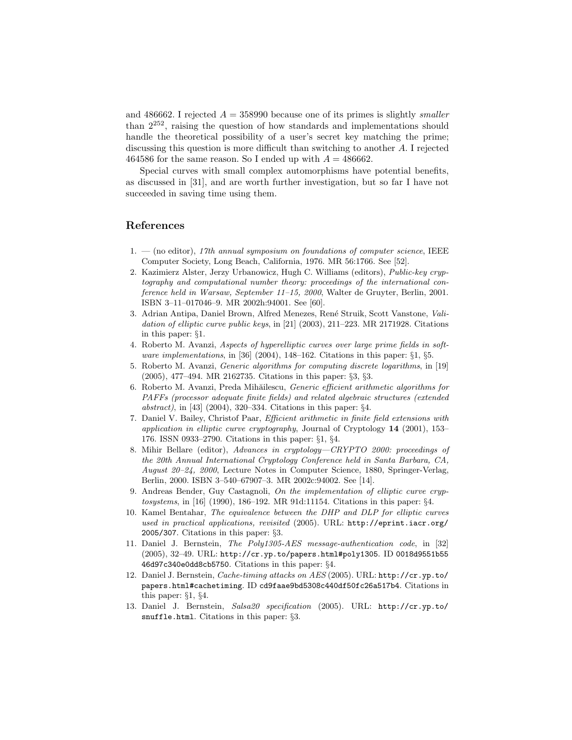and 486662. I rejected  $A = 358990$  because one of its primes is slightly smaller than 2<sup>252</sup>, raising the question of how standards and implementations should handle the theoretical possibility of a user's secret key matching the prime; discussing this question is more difficult than switching to another A. I rejected 464586 for the same reason. So I ended up with  $A = 486662$ .

Special curves with small complex automorphisms have potential benefits, as discussed in [31], and are worth further investigation, but so far I have not succeeded in saving time using them.

# References

- 1. (no editor), 17th annual symposium on foundations of computer science, IEEE Computer Society, Long Beach, California, 1976. MR 56:1766. See [52].
- 2. Kazimierz Alster, Jerzy Urbanowicz, Hugh C. Williams (editors), Public-key cryptography and computational number theory: proceedings of the international conference held in Warsaw, September 11–15, 2000, Walter de Gruyter, Berlin, 2001. ISBN 3–11–017046–9. MR 2002h:94001. See [60].
- 3. Adrian Antipa, Daniel Brown, Alfred Menezes, René Struik, Scott Vanstone, Validation of elliptic curve public keys, in [21] (2003), 211–223. MR 2171928. Citations in this paper: §1.
- 4. Roberto M. Avanzi, Aspects of hyperelliptic curves over large prime fields in software implementations, in [36] (2004), 148–162. Citations in this paper: §1, §5.
- 5. Roberto M. Avanzi, Generic algorithms for computing discrete logarithms, in [19] (2005), 477–494. MR 2162735. Citations in this paper: §3, §3.
- 6. Roberto M. Avanzi, Preda Mihăilescu, Generic efficient arithmetic algorithms for PAFFs (processor adequate finite fields) and related algebraic structures (extended abstract), in [43] (2004), 320–334. Citations in this paper: §4.
- 7. Daniel V. Bailey, Christof Paar, Efficient arithmetic in finite field extensions with application in elliptic curve cryptography, Journal of Cryptology  $14$  (2001), 153– 176. ISSN 0933–2790. Citations in this paper: §1, §4.
- 8. Mihir Bellare (editor), Advances in cryptology—CRYPTO 2000: proceedings of the 20th Annual International Cryptology Conference held in Santa Barbara, CA, August 20–24, 2000, Lecture Notes in Computer Science, 1880, Springer-Verlag, Berlin, 2000. ISBN 3–540–67907–3. MR 2002c:94002. See [14].
- 9. Andreas Bender, Guy Castagnoli, On the implementation of elliptic curve cryptosystems, in [16] (1990), 186–192. MR 91d:11154. Citations in this paper: §4.
- 10. Kamel Bentahar, The equivalence between the DHP and DLP for elliptic curves used in practical applications, revisited (2005). URL: http://eprint.iacr.org/ 2005/307. Citations in this paper: §3.
- 11. Daniel J. Bernstein, The Poly1305-AES message-authentication code, in [32] (2005), 32–49. URL: http://cr.yp.to/papers.html#poly1305. ID 0018d9551b55 46d97c340e0dd8cb5750. Citations in this paper: §4.
- 12. Daniel J. Bernstein, Cache-timing attacks on AES (2005). URL: http://cr.yp.to/ papers.html#cachetiming. ID cd9faae9bd5308c440df50fc26a517b4. Citations in this paper: §1, §4.
- 13. Daniel J. Bernstein, Salsa20 specification (2005). URL: http://cr.yp.to/ snuffle.html. Citations in this paper: §3.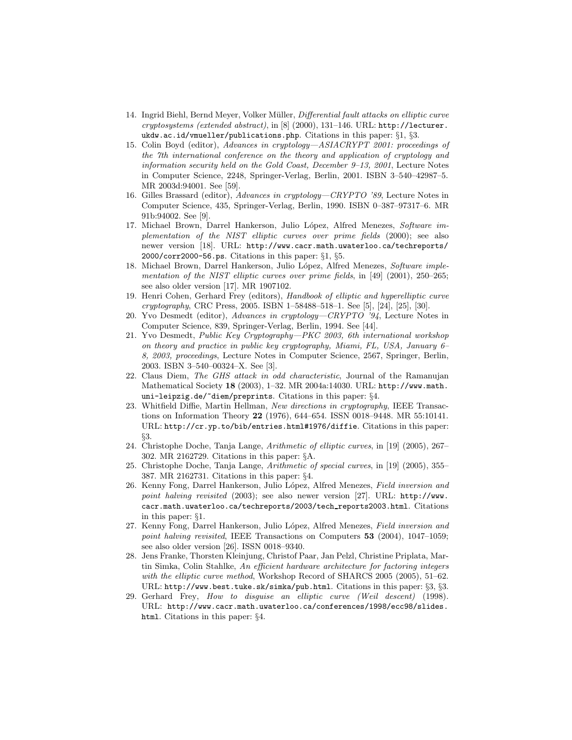- 14. Ingrid Biehl, Bernd Meyer, Volker Müller, *Differential fault attacks on elliptic curve* cryptosystems (extended abstract), in [8] (2000), 131–146. URL: http://lecturer. ukdw.ac.id/vmueller/publications.php. Citations in this paper: §1, §3.
- 15. Colin Boyd (editor), Advances in cryptology—ASIACRYPT 2001: proceedings of the 7th international conference on the theory and application of cryptology and information security held on the Gold Coast, December  $9-13$ , 2001, Lecture Notes in Computer Science, 2248, Springer-Verlag, Berlin, 2001. ISBN 3–540–42987–5. MR 2003d:94001. See [59].
- 16. Gilles Brassard (editor), Advances in cryptology—CRYPTO '89, Lecture Notes in Computer Science, 435, Springer-Verlag, Berlin, 1990. ISBN 0–387–97317–6. MR 91b:94002. See [9].
- 17. Michael Brown, Darrel Hankerson, Julio López, Alfred Menezes, Software implementation of the NIST elliptic curves over prime fields (2000); see also newer version [18]. URL: http://www.cacr.math.uwaterloo.ca/techreports/ 2000/corr2000-56.ps. Citations in this paper: §1, §5.
- 18. Michael Brown, Darrel Hankerson, Julio López, Alfred Menezes, Software implementation of the NIST elliptic curves over prime fields, in [49] (2001), 250–265; see also older version [17]. MR 1907102.
- 19. Henri Cohen, Gerhard Frey (editors), Handbook of elliptic and hyperelliptic curve cryptography, CRC Press, 2005. ISBN 1–58488–518–1. See [5], [24], [25], [30].
- 20. Yvo Desmedt (editor), Advances in cryptology—CRYPTO '94, Lecture Notes in Computer Science, 839, Springer-Verlag, Berlin, 1994. See [44].
- 21. Yvo Desmedt, Public Key Cryptography—PKC 2003, 6th international workshop on theory and practice in public key cryptography, Miami, FL, USA, January 6– 8, 2003, proceedings, Lecture Notes in Computer Science, 2567, Springer, Berlin, 2003. ISBN 3–540–00324–X. See [3].
- 22. Claus Diem, The GHS attack in odd characteristic, Journal of the Ramanujan Mathematical Society 18 (2003), 1–32. MR 2004a:14030. URL: http://www.math. uni-leipzig.de/~diem/preprints. Citations in this paper: §4.
- 23. Whitfield Diffie, Martin Hellman, New directions in cryptography, IEEE Transactions on Information Theory 22 (1976), 644–654. ISSN 0018–9448. MR 55:10141. URL: http://cr.yp.to/bib/entries.html#1976/diffie. Citations in this paper: §3.
- 24. Christophe Doche, Tanja Lange, Arithmetic of elliptic curves, in [19] (2005), 267– 302. MR 2162729. Citations in this paper: §A.
- 25. Christophe Doche, Tanja Lange, Arithmetic of special curves, in [19] (2005), 355– 387. MR 2162731. Citations in this paper: §4.
- 26. Kenny Fong, Darrel Hankerson, Julio López, Alfred Menezes, Field inversion and point halving revisited (2003); see also newer version [27]. URL: http://www. cacr.math.uwaterloo.ca/techreports/2003/tech reports2003.html. Citations in this paper: §1.
- 27. Kenny Fong, Darrel Hankerson, Julio López, Alfred Menezes, Field inversion and point halving revisited, IEEE Transactions on Computers 53 (2004), 1047–1059; see also older version [26]. ISSN 0018–9340.
- 28. Jens Franke, Thorsten Kleinjung, Christof Paar, Jan Pelzl, Christine Priplata, Martin Simka, Colin Stahlke, An efficient hardware architecture for factoring integers with the elliptic curve method, Workshop Record of SHARCS 2005 (2005), 51–62. URL: http://www.best.tuke.sk/simka/pub.html. Citations in this paper: §3, §3.
- 29. Gerhard Frey, How to disguise an elliptic curve (Weil descent) (1998). URL: http://www.cacr.math.uwaterloo.ca/conferences/1998/ecc98/slides. html. Citations in this paper: §4.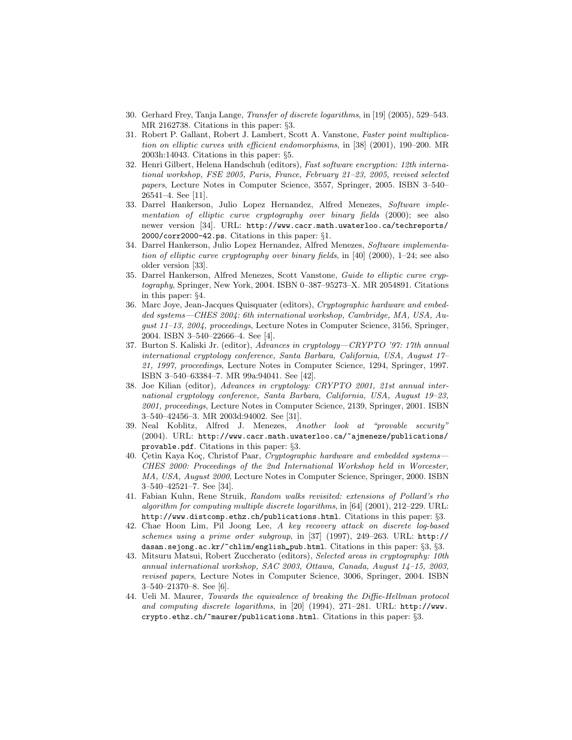- 30. Gerhard Frey, Tanja Lange, Transfer of discrete logarithms, in [19] (2005), 529–543. MR 2162738. Citations in this paper: §3.
- 31. Robert P. Gallant, Robert J. Lambert, Scott A. Vanstone, Faster point multiplication on elliptic curves with efficient endomorphisms, in [38] (2001), 190–200. MR 2003h:14043. Citations in this paper: §5.
- 32. Henri Gilbert, Helena Handschuh (editors), Fast software encryption: 12th international workshop, FSE 2005, Paris, France, February 21–23, 2005, revised selected papers, Lecture Notes in Computer Science, 3557, Springer, 2005. ISBN 3–540– 26541–4. See [11].
- 33. Darrel Hankerson, Julio Lopez Hernandez, Alfred Menezes, Software implementation of elliptic curve cryptography over binary fields (2000); see also newer version [34]. URL: http://www.cacr.math.uwaterloo.ca/techreports/ 2000/corr2000-42.ps. Citations in this paper: §1.
- 34. Darrel Hankerson, Julio Lopez Hernandez, Alfred Menezes, Software implementation of elliptic curve cryptography over binary fields, in [40] (2000), 1–24; see also older version [33].
- 35. Darrel Hankerson, Alfred Menezes, Scott Vanstone, Guide to elliptic curve cryptography, Springer, New York, 2004. ISBN 0–387–95273–X. MR 2054891. Citations in this paper: §4.
- 36. Marc Joye, Jean-Jacques Quisquater (editors), Cryptographic hardware and embedded systems—CHES 2004: 6th international workshop, Cambridge, MA, USA, August 11–13, 2004, proceedings, Lecture Notes in Computer Science, 3156, Springer, 2004. ISBN 3–540–22666–4. See [4].
- 37. Burton S. Kaliski Jr. (editor), Advances in cryptology—CRYPTO '97: 17th annual international cryptology conference, Santa Barbara, California, USA, August 17– 21, 1997, proceedings, Lecture Notes in Computer Science, 1294, Springer, 1997. ISBN 3–540–63384–7. MR 99a:94041. See [42].
- 38. Joe Kilian (editor), Advances in cryptology: CRYPTO 2001, 21st annual international cryptology conference, Santa Barbara, California, USA, August 19–23, 2001, proceedings, Lecture Notes in Computer Science, 2139, Springer, 2001. ISBN 3–540–42456–3. MR 2003d:94002. See [31].
- 39. Neal Koblitz, Alfred J. Menezes, Another look at "provable security" (2004). URL: http://www.cacr.math.uwaterloo.ca/~ajmeneze/publications/ provable.pdf. Citations in this paper: §3.
- 40. Cetin Kaya Koç, Christof Paar, Cryptographic hardware and embedded systems— CHES 2000: Proceedings of the 2nd International Workshop held in Worcester, MA, USA, August 2000, Lecture Notes in Computer Science, Springer, 2000. ISBN 3–540–42521–7. See [34].
- 41. Fabian Kuhn, Rene Struik, Random walks revisited: extensions of Pollard's rho algorithm for computing multiple discrete logarithms, in  $[64]$  (2001), 212–229. URL: http://www.distcomp.ethz.ch/publications.html. Citations in this paper: §3.
- 42. Chae Hoon Lim, Pil Joong Lee, A key recovery attack on discrete log-based schemes using a prime order subgroup, in [37] (1997), 249–263. URL: http:// dasan.sejong.ac.kr/~chlim/english\_pub.html. Citations in this paper:  $\S 3$ ,  $\S 3$ .
- 43. Mitsuru Matsui, Robert Zuccherato (editors), Selected areas in cryptography: 10th annual international workshop, SAC 2003, Ottawa, Canada, August 14–15, 2003, revised papers, Lecture Notes in Computer Science, 3006, Springer, 2004. ISBN 3–540–21370–8. See [6].
- 44. Ueli M. Maurer, Towards the equivalence of breaking the Diffie-Hellman protocol and computing discrete logarithms, in [20] (1994), 271–281. URL: http://www. crypto.ethz.ch/~maurer/publications.html. Citations in this paper: §3.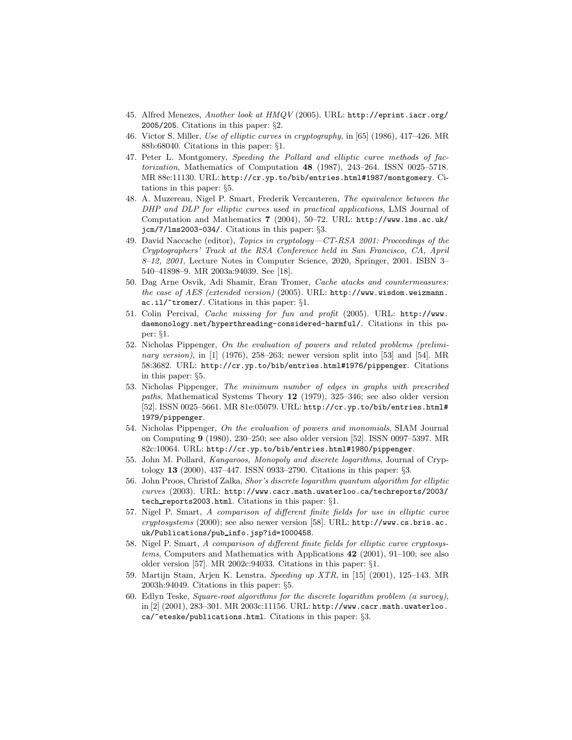- 45. Alfred Menezes, Another look at HMQV (2005). URL: http://eprint.iacr.org/ 2005/205. Citations in this paper: §2.
- 46. Victor S. Miller, Use of elliptic curves in cryptography, in [65] (1986), 417–426. MR 88b:68040. Citations in this paper: §1.
- 47. Peter L. Montgomery, Speeding the Pollard and elliptic curve methods of factorization, Mathematics of Computation 48 (1987), 243–264. ISSN 0025–5718. MR 88e:11130. URL: http://cr.yp.to/bib/entries.html#1987/montgomery. Citations in this paper: §5.
- 48. A. Muzereau, Nigel P. Smart, Frederik Vercauteren, The equivalence between the DHP and DLP for elliptic curves used in practical applications, LMS Journal of Computation and Mathematics 7 (2004), 50–72. URL: http://www.lms.ac.uk/ jcm/7/lms2003-034/. Citations in this paper: §3.
- 49. David Naccache (editor), Topics in cryptology—CT-RSA 2001: Proceedings of the Cryptographers' Track at the RSA Conference held in San Francisco, CA, April  $8-12$ , 2001, Lecture Notes in Computer Science, 2020, Springer, 2001. ISBN 3-540–41898–9. MR 2003a:94039. See [18].
- 50. Dag Arne Osvik, Adi Shamir, Eran Tromer, Cache atacks and countermeasures: the case of AES (extended version) (2005). URL: http://www.wisdom.weizmann. ac.il/~tromer/. Citations in this paper: §1.
- 51. Colin Percival, Cache missing for fun and profit (2005). URL: http://www. daemonology.net/hyperthreading-considered-harmful/. Citations in this paper: §1.
- 52. Nicholas Pippenger, On the evaluation of powers and related problems (preliminary version), in [1] (1976), 258–263; newer version split into [53] and [54]. MR 58:3682. URL: http://cr.yp.to/bib/entries.html#1976/pippenger. Citations in this paper: §5.
- 53. Nicholas Pippenger, The minimum number of edges in graphs with prescribed paths, Mathematical Systems Theory 12 (1979), 325–346; see also older version [52]. ISSN 0025–5661. MR 81e:05079. URL: http://cr.yp.to/bib/entries.html# 1979/pippenger.
- 54. Nicholas Pippenger, On the evaluation of powers and monomials, SIAM Journal on Computing 9 (1980), 230–250; see also older version [52]. ISSN 0097–5397. MR 82c:10064. URL: http://cr.yp.to/bib/entries.html#1980/pippenger.
- 55. John M. Pollard, Kangaroos, Monopoly and discrete logarithms, Journal of Cryptology 13 (2000), 437–447. ISSN 0933–2790. Citations in this paper: §3.
- 56. John Proos, Christof Zalka, Shor's discrete logarithm quantum algorithm for elliptic curves (2003). URL: http://www.cacr.math.uwaterloo.ca/techreports/2003/ tech reports2003.html. Citations in this paper: §1.
- 57. Nigel P. Smart, A comparison of different finite fields for use in elliptic curve cryptosystems (2000); see also newer version [58]. URL: http://www.cs.bris.ac. uk/Publications/pub info.jsp?id=1000458.
- 58. Nigel P. Smart, A comparison of different finite fields for elliptic curve cryptosystems, Computers and Mathematics with Applications 42 (2001), 91–100; see also older version [57]. MR 2002c:94033. Citations in this paper: §1.
- 59. Martijn Stam, Arjen K. Lenstra, Speeding up XTR, in [15] (2001), 125–143. MR 2003h:94049. Citations in this paper: §5.
- 60. Edlyn Teske, Square-root algorithms for the discrete logarithm problem (a survey), in [2] (2001), 283–301. MR 2003c:11156. URL: http://www.cacr.math.uwaterloo. ca/~eteske/publications.html. Citations in this paper: §3.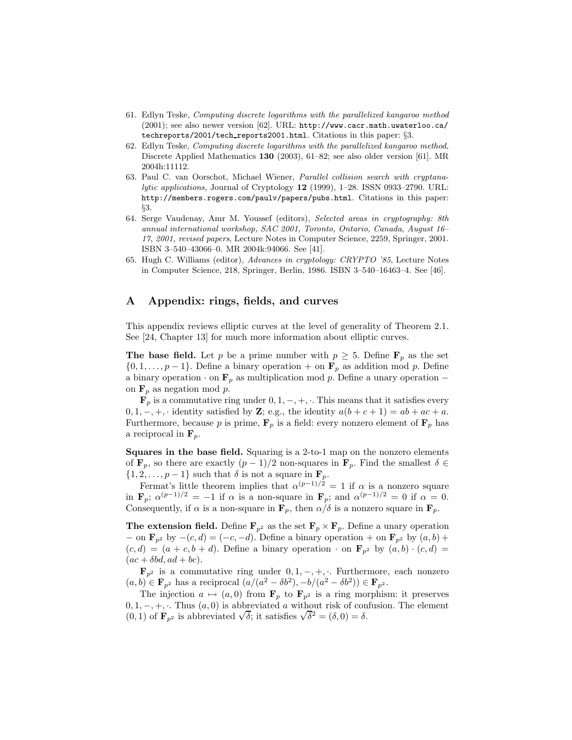- 61. Edlyn Teske, Computing discrete logarithms with the parallelized kangaroo method (2001); see also newer version [62]. URL: http://www.cacr.math.uwaterloo.ca/ techreports/2001/tech reports2001.html. Citations in this paper: §3.
- 62. Edlyn Teske, Computing discrete logarithms with the parallelized kangaroo method, Discrete Applied Mathematics 130 (2003), 61–82; see also older version [61]. MR 2004h:11112.
- 63. Paul C. van Oorschot, Michael Wiener, Parallel collision search with cryptanalytic applications, Journal of Cryptology  $12$  (1999), 1–28. ISSN 0933–2790. URL: http://members.rogers.com/paulv/papers/pubs.html. Citations in this paper: §3.
- 64. Serge Vaudenay, Amr M. Youssef (editors), Selected areas in cryptography: 8th annual international workshop, SAC 2001, Toronto, Ontario, Canada, August 16– 17, 2001, revised papers, Lecture Notes in Computer Science, 2259, Springer, 2001. ISBN 3–540–43066–0. MR 2004k:94066. See [41].
- 65. Hugh C. Williams (editor), Advances in cryptology: CRYPTO '85, Lecture Notes in Computer Science, 218, Springer, Berlin, 1986. ISBN 3–540–16463–4. See [46].

### A Appendix: rings, fields, and curves

This appendix reviews elliptic curves at the level of generality of Theorem 2.1. See [24, Chapter 13] for much more information about elliptic curves.

**The base field.** Let p be a prime number with  $p \geq 5$ . Define  $\mathbf{F}_p$  as the set  $\{0, 1, \ldots, p-1\}$ . Define a binary operation + on  $\mathbf{F}_p$  as addition mod p. Define a binary operation  $\cdot$  on  $\mathbf{F}_p$  as multiplication mod p. Define a unary operation – on  $\mathbf{F}_p$  as negation mod p.

 $\mathbf{F}_p$  is a commutative ring under  $0, 1, -, +, \cdot$ . This means that it satisfies every  $0, 1, -, +, \cdot$  identity satisfied by **Z**; e.g., the identity  $a(b+c+1) = ab + ac + a$ . Furthermore, because  $p$  is prime,  $\mathbf{F}_p$  is a field: every nonzero element of  $\mathbf{F}_p$  has a reciprocal in  $\mathbf{F}_p$ .

Squares in the base field. Squaring is a 2-to-1 map on the nonzero elements of  $\mathbf{F}_p$ , so there are exactly  $(p-1)/2$  non-squares in  $\mathbf{F}_p$ . Find the smallest  $\delta \in$  $\{1, 2, \ldots, p-1\}$  such that  $\delta$  is not a square in  $\mathbf{F}_p$ .

Fermat's little theorem implies that  $\alpha^{(p-1)/2} = 1$  if  $\alpha$  is a nonzero square in  $\mathbf{F}_p$ ;  $\alpha^{(p-1)/2} = -1$  if  $\alpha$  is a non-square in  $\mathbf{F}_p$ ; and  $\alpha^{(p-1)/2} = 0$  if  $\alpha = 0$ . Consequently, if  $\alpha$  is a non-square in  $\mathbf{F}_p$ , then  $\alpha/\delta$  is a nonzero square in  $\mathbf{F}_p$ .

The extension field. Define  $\mathbf{F}_{p^2}$  as the set  $\mathbf{F}_p \times \mathbf{F}_p$ . Define a unary operation − on  $\mathbf{F}_{p^2}$  by  $-(c, d) = (-c, -d)$ . Define a binary operation + on  $\mathbf{F}_{p^2}$  by  $(a, b)$  +  $(c, d) = (a + c, b + d)$ . Define a binary operation  $\cdot$  on  $\mathbf{F}_{p^2}$  by  $(a, b) \cdot (c, d) =$  $(ac + \delta bd, ad + bc).$ 

 $\mathbf{F}_{p^2}$  is a commutative ring under  $0, 1, -, +, \cdot$ . Furthermore, each nonzero  $(a, b) \in \mathbf{F}_{p^2}$  has a reciprocal  $(a/(a^2 - \delta b^2), -b/(a^2 - \delta b^2)) \in \mathbf{F}_{p^2}$ .

The injection  $a \mapsto (a, 0)$  from  $\mathbf{F}_p$  to  $\mathbf{F}_{p^2}$  is a ring morphism: it preserves  $0, 1, -, +, \cdot$ . Thus  $(a, 0)$  is abbreviated a without risk of confusion. The element (0, 1) of  $\mathbf{F}_{p^2}$  is abbreviated  $\sqrt{\delta}$ ; it satisfies  $\sqrt{\delta^2} = (\delta, 0) = \delta$ .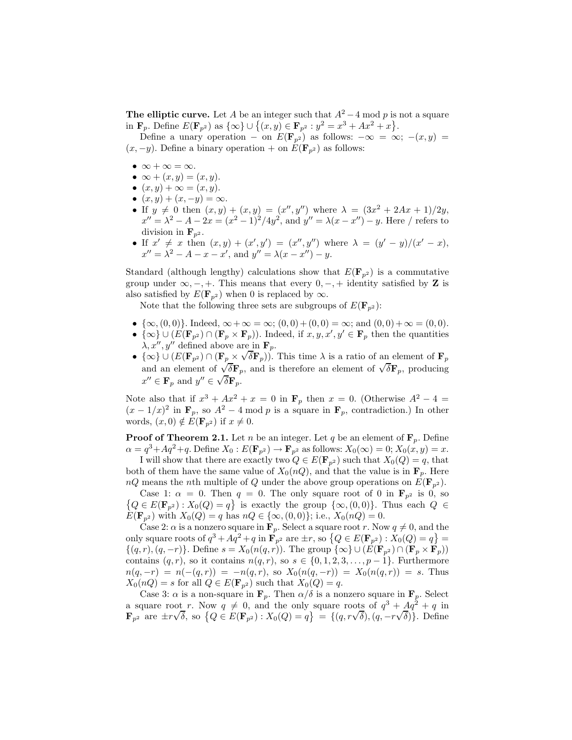The elliptic curve. Let A be an integer such that  $A^2 - 4$  mod p is not a square in  $\mathbf{F}_p$ . Define  $E(\mathbf{F}_{p^2})$  as  $\{\infty\} \cup \{(x,y) \in \mathbf{F}_{p^2} : y^2 = x^3 + Ax^2 + x\}.$ 

Define a unary operation – on  $E(\mathbf{F}_{p^2})$  as follows:  $-\infty = \infty$ ;  $-(x, y)$  $(x, -y)$ . Define a binary operation + on  $E(\mathbf{F}_{p^2})$  as follows:

- $\infty + \infty = \infty$ .
- $\bullet \infty + (x, y) = (x, y).$
- $(x, y) + \infty = (x, y).$
- $(x, y) + (x, -y) = \infty$ .
- If  $y \neq 0$  then  $(x, y) + (x, y) = (x'', y'')$  where  $\lambda = (3x^2 + 2Ax + 1)/2y$ ,  $x'' = \lambda^2 - A - 2x = (x^2 - 1)^2/4y^2$ , and  $y'' = \lambda(x - x'') - y$ . Here / refers to division in  $\mathbf{F}_{p^2}$ .
- If  $x' \neq x$  then  $(x, y) + (x', y') = (x'', y'')$  where  $\lambda = (y' y)/(x' x)$ ,  $x'' = \lambda^2 - A - x - x'$ , and  $y'' = \lambda(x - x'') - y$ .

Standard (although lengthy) calculations show that  $E(\mathbf{F}_{p^2})$  is a commutative group under  $\infty, -, +$ . This means that every  $0, -, +$  identity satisfied by **Z** is also satisfied by  $E(\mathbf{F}_{p^2})$  when 0 is replaced by  $\infty$ .

Note that the following three sets are subgroups of  $E(\mathbf{F}_{n^2})$ :

- $\{\infty, (0, 0)\}\.$  Indeed,  $\infty + \infty = \infty$ ;  $(0, 0) + (0, 0) = \infty$ ; and  $(0, 0) + \infty = (0, 0)$ .
- $\{\infty\} \cup (E(\mathbf{F}_{p^2}) \cap (\mathbf{F}_p \times \mathbf{F}_p))$ . Indeed, if  $x, y, x', y' \in \mathbf{F}_p$  then the quantities  $\lambda, x'', y''$  defined above are in  $\mathbf{F}_p$ .
- $\{\infty\} \cup (E(\mathbf{F}_{p^2}) \cap (\mathbf{F}_{p} \times \sqrt{\delta \mathbf{F}_{p}}))$ . This time  $\lambda$  is a ratio of an element of  $\mathbf{F}_{p}$ and an element of  $\sqrt{\delta}$ **F**<sub>p</sub>, and is therefore an element of  $\sqrt{\delta}$ **F**<sub>p</sub>, producing  $x'' \in \mathbf{F}_p$  and  $y'' \in \sqrt{\delta} \mathbf{F}_p$ .

Note also that if  $x^3 + Ax^2 + x = 0$  in  $\mathbf{F}_p$  then  $x = 0$ . (Otherwise  $A^2 - 4 =$  $(x - 1/x)^2$  in  $\mathbf{F}_p$ , so  $A^2 - 4 \mod p$  is a square in  $\mathbf{F}_p$ , contradiction.) In other words,  $(x, 0) \notin E(\mathbf{F}_{p^2})$  if  $x \neq 0$ .

**Proof of Theorem 2.1.** Let n be an integer. Let q be an element of  $\mathbf{F}_p$ . Define  $\alpha = q^3 + Aq^2 + q$ . Define  $X_0 : E(\mathbf{F}_{p^2}) \to \mathbf{F}_{p^2}$  as follows:  $X_0(\infty) = 0; X_0(x, y) = x$ . I will show that there are exactly two  $Q \in E(\mathbf{F}_{p^2})$  such that  $X_0(Q) = q$ , that

both of them have the same value of  $X_0(nQ)$ , and that the value is in  $\mathbf{F}_p$ . Here  $nQ$  means the *n*th multiple of Q under the above group operations on  $E(\mathbf{F}_{p^2})$ .

Case 1:  $\alpha = 0$ . Then  $q = 0$ . The only square root of 0 in  $\mathbf{F}_{p^2}$  is 0, so  $\{Q \in E(\mathbf{F}_{p^2}) : X_0(Q) = q\}$  is exactly the group  $\{\infty, (0, 0)\}\$ . Thus each  $Q \in$  $E(\mathbf{F}_{p^2})$  with  $X_0(Q) = q$  has  $nQ \in \{\infty, (0, 0)\};$  i.e.,  $X_0(nQ) = 0$ .

Case 2:  $\alpha$  is a nonzero square in  $\mathbf{F}_p$ . Select a square root r. Now  $q \neq 0$ , and the only square roots of  $q^3 + Aq^2 + q$  in  $\mathbf{F}_{p^2}$  are  $\pm r$ , so  $\{Q \in E(\mathbf{F}_{p^2}) : X_0(Q) = q\}$  $\{(q, r), (q, -r)\}\)$ . Define  $s = X_0(n(q, r))$ . The group  $\{\infty\} \cup (\hat{E}(\mathbf{F}_{p^2}) \cap (\mathbf{F}_p \times \mathbf{F}_p))$ contains  $(q, r)$ , so it contains  $n(q, r)$ , so  $s \in \{0, 1, 2, 3, \ldots, p-1\}$ . Furthermore  $n(q, -r) = n(-(q, r)) = -n(q, r)$ , so  $X_0(n(q, -r)) = X_0(n(q, r)) = s$ . Thus  $X_0(nQ) = s$  for all  $Q \in E(\mathbf{F}_{p^2})$  such that  $X_0(Q) = q$ .

Case 3:  $\alpha$  is a non-square in  $\mathbf{F}_p$ . Then  $\alpha/\delta$  is a nonzero square in  $\mathbf{F}_p$ . Select a square root r. Now  $q \neq 0$ , and the only square roots of  $q^3 + Aq^2 + q$  in  $\mathbf{F}_{p^2}$  are  $\pm r\sqrt{\delta}$ , so  $\{Q \in E(\mathbf{F}_{p^2}) : X_0(Q) = q\} = \{(q, r\sqrt{\delta}), (q, -r\sqrt{\delta})\}$ . Define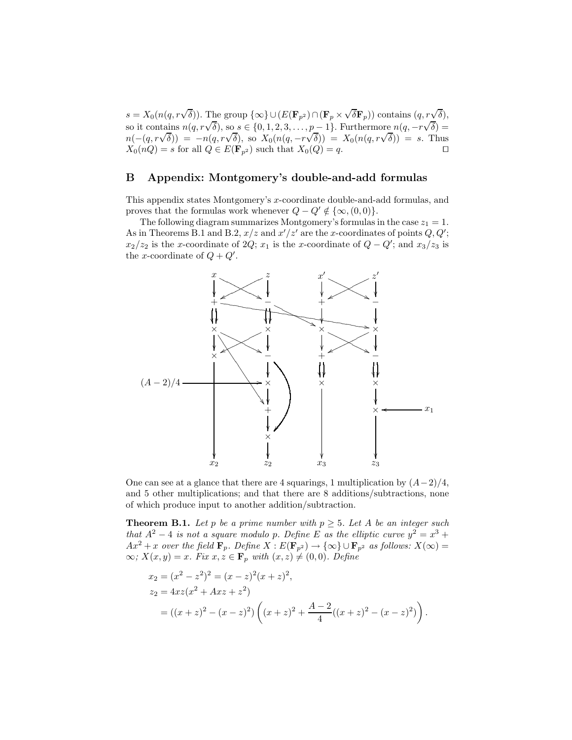$s = X_0(n(q, r\sqrt{\delta}))$ . The group  $\{\infty\} \cup (E(\mathbf{F}_{p^2}) \cap (\mathbf{F}_p \times \sqrt{\delta}\mathbf{F}_p))$  contains  $(q, r\sqrt{\delta}),$ so it contains  $n(q, r\sqrt{\delta})$ , so  $s \in \{0, 1, 2, 3, ..., p-1\}$ . Furthermore  $n(q, -r\sqrt{\delta}) =$  $n(-(q, r\sqrt{\delta})) = -n(q, r\sqrt{\delta}),$  so  $X_0(n(q, -r\sqrt{\delta})) = X_0(n(q, r\sqrt{\delta})) = s$ . Thus  $X_0(nQ) = s$  for all  $Q \in E(\mathbf{F}_{p^2})$  such that  $X_0(Q) = q$ .

### B Appendix: Montgomery's double-and-add formulas

This appendix states Montgomery's x-coordinate double-and-add formulas, and proves that the formulas work whenever  $Q - Q' \notin {\infty, (0, 0)}$ .

The following diagram summarizes Montgomery's formulas in the case  $z_1 = 1$ . As in Theorems B.1 and B.2,  $x/z$  and  $x'/z'$  are the x-coordinates of points  $Q, Q'$ ;  $x_2/z_2$  is the x-coordinate of  $2Q$ ;  $x_1$  is the x-coordinate of  $Q - Q'$ ; and  $x_3/z_3$  is the x-coordinate of  $Q + Q'$ .



One can see at a glance that there are 4 squarings, 1 multiplication by  $(A-2)/4$ , and 5 other multiplications; and that there are 8 additions/subtractions, none of which produce input to another addition/subtraction.

**Theorem B.1.** Let p be a prime number with  $p \geq 5$ . Let A be an integer such that  $A^2 - 4$  is not a square modulo p. Define E as the elliptic curve  $y^2 = x^3 +$  $Ax^{2}+x$  over the field  $\mathbf{F}_{p}$ . Define  $X: E(\mathbf{F}_{p^{2}}) \to \{\infty\} \cup \mathbf{F}_{p^{2}}$  as follows:  $X(\infty) =$ ∞;  $X(x, y) = x$ . Fix  $x, z \in \mathbf{F}_p$  with  $(x, z) \neq (0, 0)$ . Define

$$
x_2 = (x^2 - z^2)^2 = (x - z)^2 (x + z)^2,
$$
  
\n
$$
z_2 = 4xz(x^2 + Axz + z^2)
$$
  
\n
$$
= ((x + z)^2 - (x - z)^2) \left( (x + z)^2 + \frac{A - 2}{4} ((x + z)^2 - (x - z)^2) \right).
$$